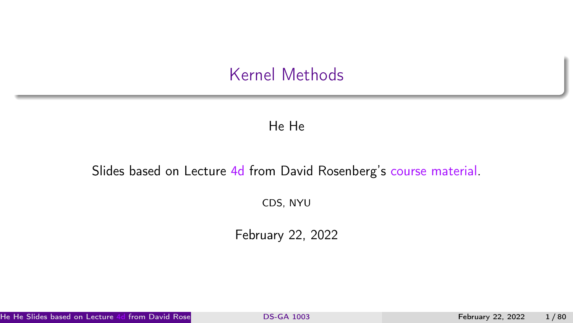#### Kernel Methods

#### He He

#### <span id="page-0-0"></span>Slides based on Lecture [4d](https://davidrosenberg.github.io/mlcourse/Archive/2019/Lectures/04d.kernel-methods.pdf) from David Rosenberg's [course material.](https://github.com/davidrosenberg/mlcourse)

CDS, NYU

February 22, 2022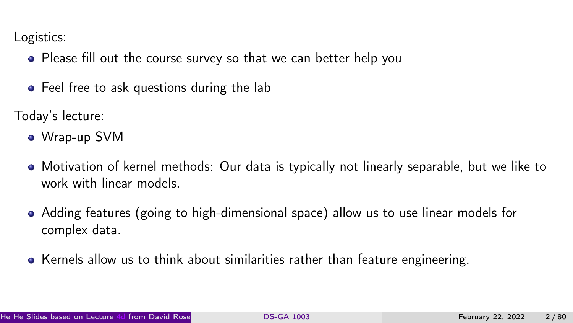Logistics:

- Please fill out the course survey so that we can better help you
- Feel free to ask questions during the lab

Today's lecture:

- Wrap-up SVM
- Motivation of kernel methods: Our data is typically not linearly separable, but we like to work with linear models.
- Adding features (going to high-dimensional space) allow us to use linear models for complex data.
- Kernels allow us to think about similarities rather than feature engineering.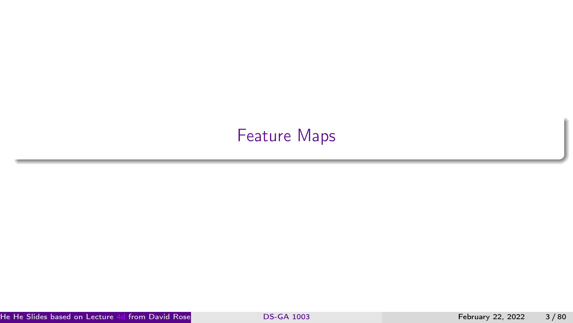## <span id="page-2-0"></span>[Feature Maps](#page-2-0)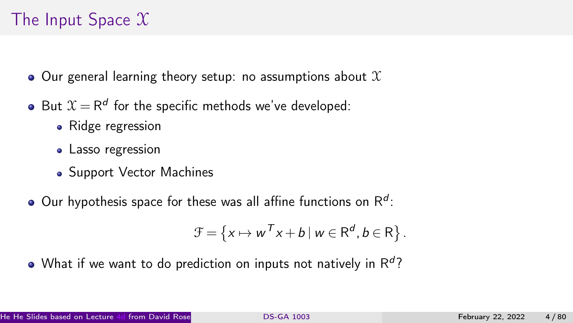# The Input Space  $\mathfrak X$

- $\bullet$  Our general learning theory setup: no assumptions about  $\mathfrak X$
- But  $\mathfrak{X}=\mathsf{R}^d$  for the specific methods we've developed:
	- Ridge regression
	- Lasso regression
	- Support Vector Machines
- Our hypothesis space for these was all affine functions on  $\mathsf{R}^d$ :

$$
\mathcal{F} = \left\{ x \mapsto w^T x + b \mid w \in \mathsf{R}^d, b \in \mathsf{R} \right\}.
$$

What if we want to do prediction on inputs not natively in  $\mathsf{R}^d?$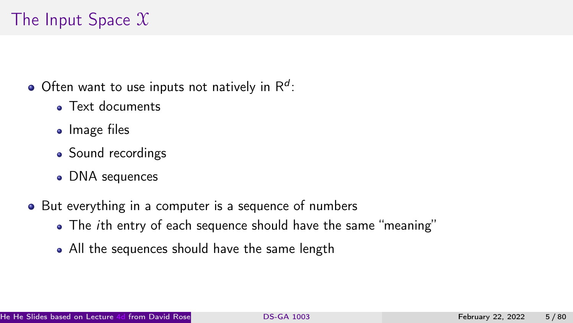# The Input Space  $\mathfrak X$

- Often want to use inputs not natively in  $\mathsf{R}^d$ :
	- **a** Text documents
	- Image files
	- Sound recordings
	- DNA sequences
- But everything in a computer is a sequence of numbers
	- The *ith* entry of each sequence should have the same "meaning"
	- All the sequences should have the same length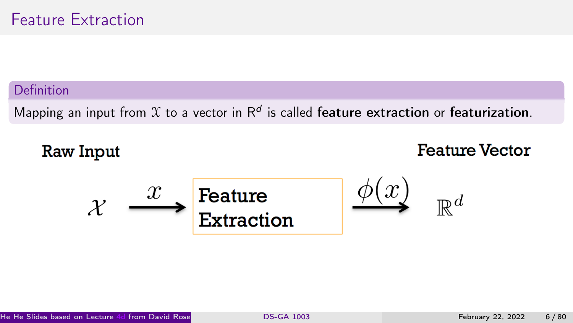#### Definition

Mapping an input from  $\mathfrak X$  to a vector in  $\mathsf R^d$  is called feature extraction or featurization.

### **Raw Input**

### **Feature Vector**

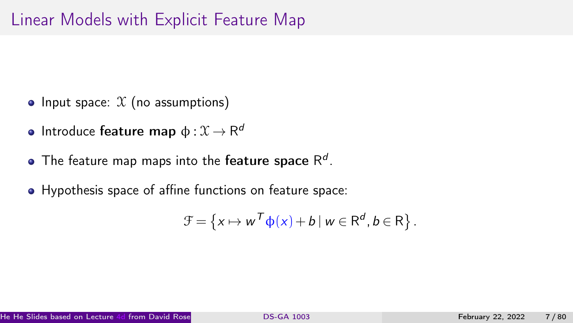- Input space:  $X$  (no assumptions)
- Introduce  $\mathsf{feature\ map}\ \mathsf{\varphi}:\mathfrak{X}\to\mathsf{R}^d$
- The feature map maps into the **feature space**  $\mathsf{R}^d$ .
- Hypothesis space of affine functions on feature space:

$$
\mathcal{F} = \left\{ x \mapsto w^T \phi(x) + b \mid w \in \mathsf{R}^d, b \in \mathsf{R} \right\}.
$$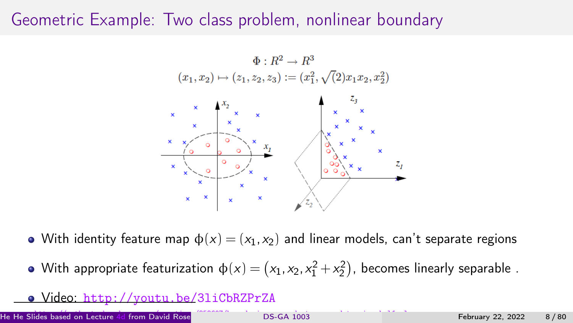## Geometric Example: Two class problem, nonlinear boundary



• With identity feature map  $\phi(x) = (x_1, x_2)$  and linear models, can't separate regions

With appropriate featurization  $\varphi(x) = \left(x_1, x_2, x_1^2 + x_2^2\right)$ , becomes linearly separable .

#### Video: <http://youtu.be/3liCbRZPrZA>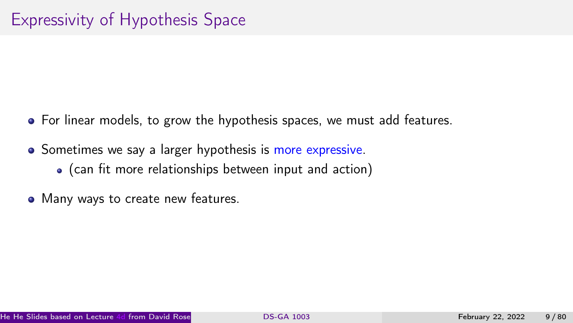- For linear models, to grow the hypothesis spaces, we must add features.
- Sometimes we say a larger hypothesis is more expressive.
	- (can fit more relationships between input and action)
- Many ways to create new features.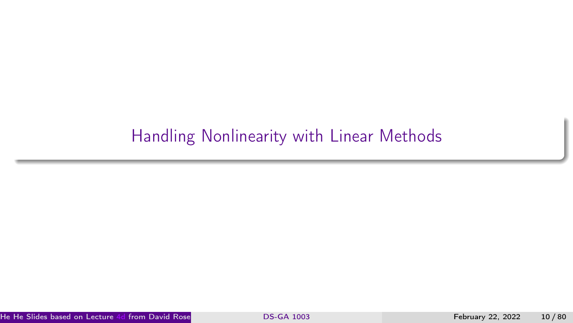# <span id="page-9-0"></span>[Handling Nonlinearity with Linear Methods](#page-9-0)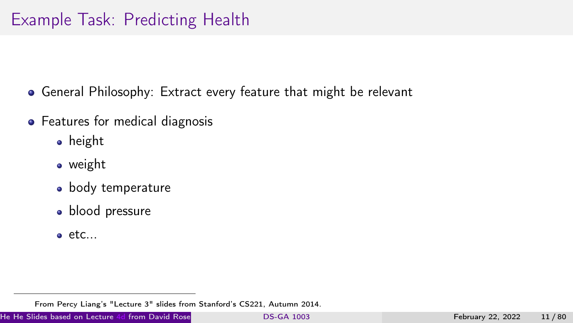## Example Task: Predicting Health

- General Philosophy: Extract every feature that might be relevant
- Features for medical diagnosis
	- **•** height
	- **•** weight
	- body temperature
	- · blood pressure
	- $\bullet$  etc...

From Percy Liang's "Lecture 3" slides from Stanford's CS221, Autumn 2014.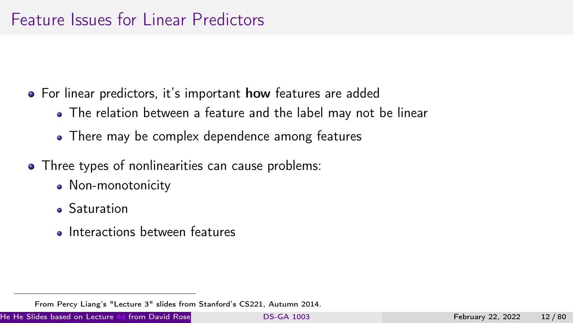#### Feature Issues for Linear Predictors

- For linear predictors, it's important how features are added
	- The relation between a feature and the label may not be linear
	- There may be complex dependence among features
- Three types of nonlinearities can cause problems:
	- Non-monotonicity
	- **Saturation**
	- Interactions between features

He He Slides based on Lecture [4d](https://davidrosenberg.github.io/mlcourse/Archive/2019/Lectures/04d.kernel-methods.pdf) from David Rose **No. 2003 . (C[DS-GA 1003](#page-0-0)** . (CDS, NYU) February 22, 2022 12 / 80

From Percy Liang's "Lecture 3" slides from Stanford's CS221, Autumn 2014.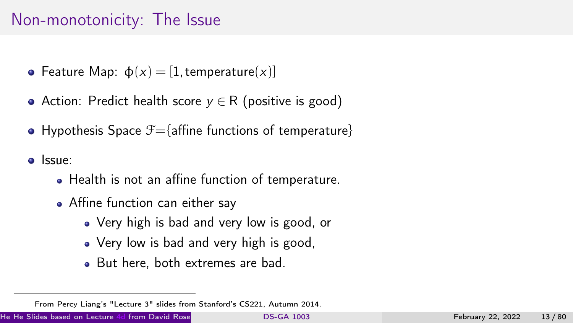## Non-monotonicity: The Issue

- Feature Map:  $\phi(x) = [1, \text{temperature}(x)]$
- Action: Predict health score  $y \in R$  (positive is good)
- Hypothesis Space  $\mathcal{F}=\{$ affine functions of temperature}
- Issue:
	- Health is not an affine function of temperature.
	- Affine function can either say
		- Very high is bad and very low is good, or
		- Very low is bad and very high is good,
		- But here, both extremes are bad.

From Percy Liang's "Lecture 3" slides from Stanford's CS221, Autumn 2014.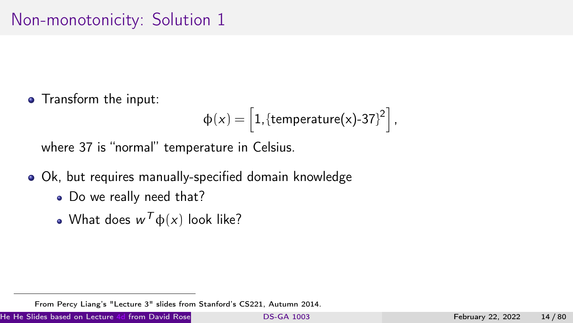#### Non-monotonicity: Solution 1

• Transform the input:

$$
\varphi(x) = \left[1, \{\text{temperature}(x)\text{-}37\}^2\right],
$$

where 37 is "normal" temperature in Celsius.

- Ok, but requires manually-specified domain knowledge
	- Do we really need that?
	- What does  $w^T\varphi(x)$  look like?

He He Slides based on Lecture [4d](https://davidrosenberg.github.io/mlcourse/Archive/2019/Lectures/04d.kernel-methods.pdf) from David Rosenberg's Course Material [DS-GA 1003](#page-0-0) . (CDS, NYU) February 22, 2022 . (14 / 80

From Percy Liang's "Lecture 3" slides from Stanford's CS221, Autumn 2014.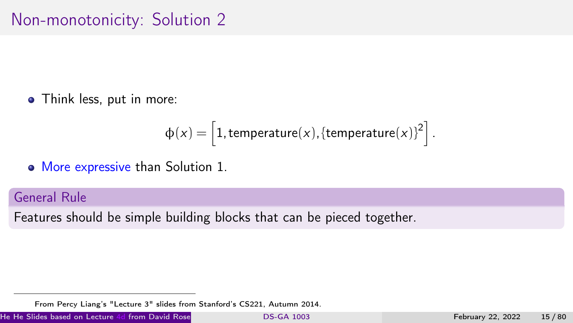#### Non-monotonicity: Solution 2

• Think less, put in more:

$$
\varphi(x) = \left[1, \text{temperature}(x), \{\text{temperature}(x)\}^2\right].
$$

More expressive than Solution 1.

General Rule

Features should be simple building blocks that can be pieced together.

He He Slides based on Lecture [4d](https://davidrosenberg.github.io/mlcourse/Archive/2019/Lectures/04d.kernel-methods.pdf) from David Rosenberg's [course material](https://github.com/davidrosenberg/mlcourse) [DS-GA 1003](#page-0-0) . (CDS, NYU) February 22, 2022 15 / 80

From Percy Liang's "Lecture 3" slides from Stanford's CS221, Autumn 2014.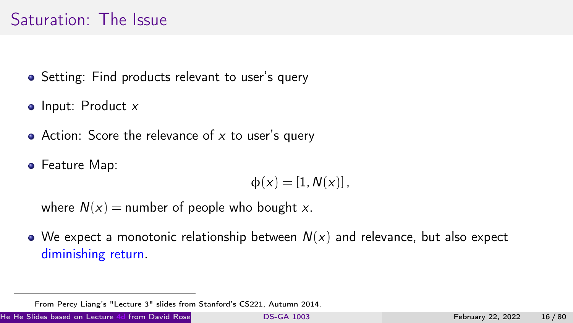### Saturation: The Issue

- Setting: Find products relevant to user's query
- $\bullet$  Input: Product  $x$
- Action: Score the relevance of  $x$  to user's query
- **•** Feature Map:

$$
\varphi(x)=[1,N(x)],
$$

where  $N(x)$  = number of people who bought x.

 $\bullet$  We expect a monotonic relationship between  $N(x)$  and relevance, but also expect diminishing return.

He He Slides based on Lecture [4d](https://davidrosenberg.github.io/mlcourse/Archive/2019/Lectures/04d.kernel-methods.pdf) from David Rose . (C[DS-GA 1003](#page-0-0) . (CDS-GA 1003 . (CDS) February 22, 2022 . (CDS, 16 / 80

From Percy Liang's "Lecture 3" slides from Stanford's CS221, Autumn 2014.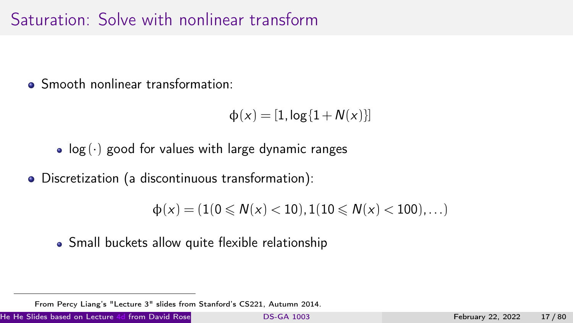## Saturation: Solve with nonlinear transform

• Smooth nonlinear transformation:

 $\phi(x) = [1, \log{1 + N(x)}]$ 

- $log(·)$  good for values with large dynamic ranges
- Discretization (a discontinuous transformation):

 $\phi(x) = (1(0 \leq N(x) < 10), 1(10 \leq N(x) < 100), \ldots)$ 

Small buckets allow quite flexible relationship

He He Slides based on Lecture [4d](https://davidrosenberg.github.io/mlcourse/Archive/2019/Lectures/04d.kernel-methods.pdf) from David Rose . (C[DS-GA 1003](#page-0-0) . (CDS-GA 1003 . (CDS, NYU) February 22, 2022 17 / 80

From Percy Liang's "Lecture 3" slides from Stanford's CS221, Autumn 2014.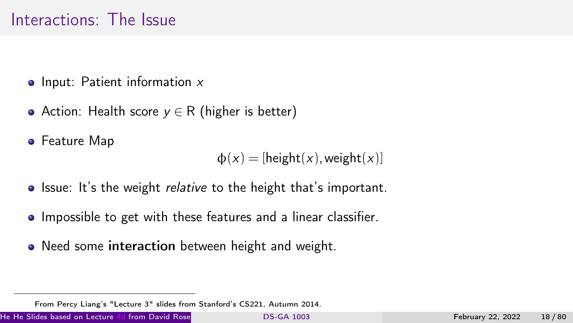#### Interactions: The Issue

- $\bullet$  Input: Patient information  $x$
- Action: Health score  $y \in R$  (higher is better)
- **•** Feature Map

 $\phi(x) =$ [height(x), weight(x)]

- Issue: It's the weight *relative* to the height that's important.
- Impossible to get with these features and a linear classifier.
- Need some interaction between height and weight.

He He Slides based on Lecture [4d](https://davidrosenberg.github.io/mlcourse/Archive/2019/Lectures/04d.kernel-methods.pdf) from David Rosenberg's [course material](https://github.com/davidrosenberg/mlcourse) [DS-GA 1003](#page-0-0) . (CDS, NYU) February 22, 2022 18 / 80

From Percy Liang's "Lecture 3" slides from Stanford's CS221, Autumn 2014.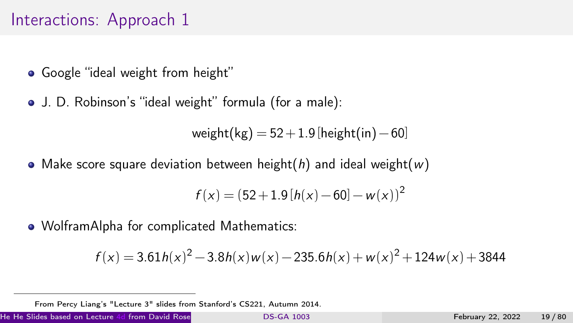### Interactions: Approach 1

- Google "ideal weight from height"
- J. D. Robinson's "ideal weight" formula (for a male):

weight(kg) =  $52 + 1.9$ [height(in) − 60]

• Make score square deviation between height(h) and ideal weight(w)

$$
f(x) = (52 + 1.9[h(x) - 60] - w(x))^2
$$

WolframAlpha for complicated Mathematics:

$$
f(x) = 3.61h(x)^{2} - 3.8h(x)w(x) - 235.6h(x) + w(x)^{2} + 124w(x) + 3844
$$

He He Slides based on Lecture [4d](https://davidrosenberg.github.io/mlcourse/Archive/2019/Lectures/04d.kernel-methods.pdf) from David Rose . (C[DS-GA 1003](#page-0-0) . (CDS-GA 1003 . (CDS) February 22, 2022 . (CDS, NY

From Percy Liang's "Lecture 3" slides from Stanford's CS221, Autumn 2014.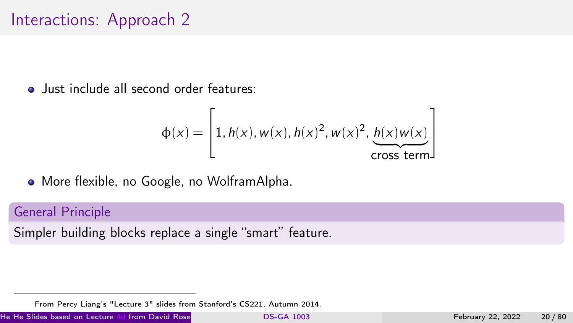#### Interactions: Approach 2

**Q** lust include all second order features:

$$
\Phi(x) = \left[1, h(x), w(x), h(x)^2, w(x)^2, \underbrace{h(x)w(x)}_{\text{cross term}}\right]
$$

More flexible, no Google, no WolframAlpha.

#### General Principle

Simpler building blocks replace a single "smart" feature.

He He Slides based on Lecture [4d](https://davidrosenberg.github.io/mlcourse/Archive/2019/Lectures/04d.kernel-methods.pdf) from David Rosenberg's [course material](https://github.com/davidrosenberg/mlcourse) [DS-GA 1003](#page-0-0) . (CDS, NYU) February 22, 2022 20 / 80

From Percy Liang's "Lecture 3" slides from Stanford's CS221, Autumn 2014.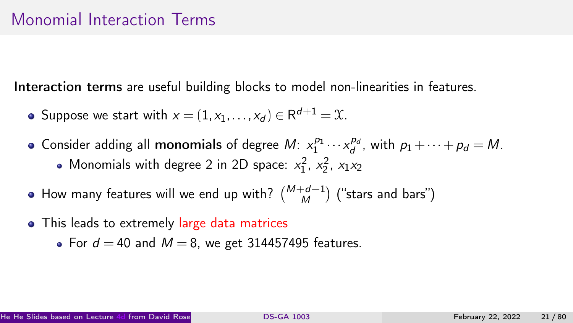Interaction terms are useful building blocks to model non-linearities in features.

- Suppose we start with  $x = (1, x_1, \ldots, x_d) \in \mathsf{R}^{d+1} = \mathfrak{X}$ .
- Consider adding all **monomials** of degree  $M: x_1^{p_1} \cdots x_d^{p_d}$ , with  $p_1 + \cdots + p_d = M$ . Monomials with degree 2 in 2D space:  $x_1^2$ ,  $x_2^2$ ,  $x_1x_2$
- How many features will we end up with?  $\binom{M+d-1}{M}$  ("stars and bars")
- This leads to extremely large data matrices
	- For  $d = 40$  and  $M = 8$ , we get 314457495 features.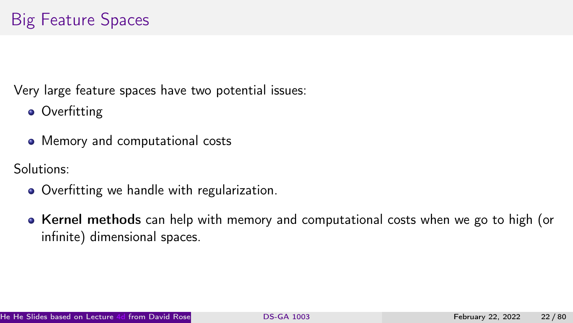Very large feature spaces have two potential issues:

- Overfitting
- Memory and computational costs

Solutions:

- Overfitting we handle with regularization.
- Kernel methods can help with memory and computational costs when we go to high (or infinite) dimensional spaces.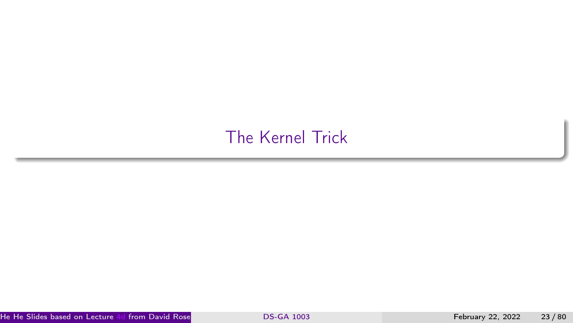## <span id="page-22-0"></span>[The Kernel Trick](#page-22-0)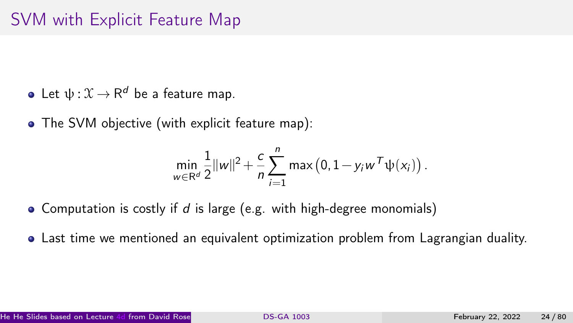- Let  $\psi: \mathfrak X \to \mathsf R^d$  be a feature map.
- The SVM objective (with explicit feature map):

$$
\min_{w \in \mathbb{R}^d} \frac{1}{2} ||w||^2 + \frac{c}{n} \sum_{i=1}^n \max (0, 1 - y_i w^T \psi(x_i)).
$$

- Computation is costly if  $d$  is large (e.g. with high-degree monomials)
- Last time we mentioned an equivalent optimization problem from Lagrangian duality.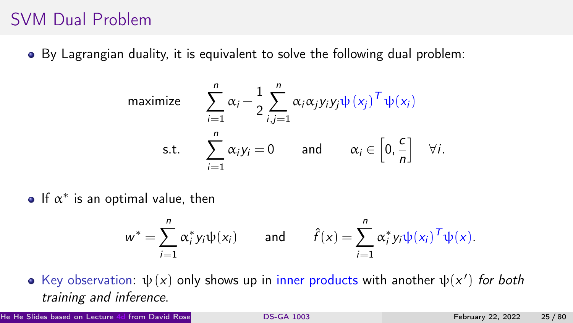## SVM Dual Problem

By Lagrangian duality, it is equivalent to solve the following dual problem:

maximize 
$$
\sum_{i=1}^{n} \alpha_i - \frac{1}{2} \sum_{i,j=1}^{n} \alpha_i \alpha_j y_i y_j \psi(x_j)^T \psi(x_i)
$$
  
s.t. 
$$
\sum_{i=1}^{n} \alpha_i y_i = 0 \quad \text{and} \quad \alpha_i \in \left[0, \frac{c}{n}\right] \quad \forall i.
$$

If  $\alpha^*$  is an optimal value, then

$$
w^* = \sum_{i=1}^n \alpha_i^* y_i \psi(x_i) \quad \text{and} \quad \hat{f}(x) = \sum_{i=1}^n \alpha_i^* y_i \psi(x_i)^\mathsf{T} \psi(x).
$$

Key observation:  $\psi(x)$  only shows up in inner products with another  $\psi(x')$  for both training and inference.

He He Slides based on Lecture [4d](https://davidrosenberg.github.io/mlcourse/Archive/2019/Lectures/04d.kernel-methods.pdf) from David Rosenberg's Course Material [DS-GA 1003](#page-0-0) . (CDS, NYU) February 22, 2022 25 / 80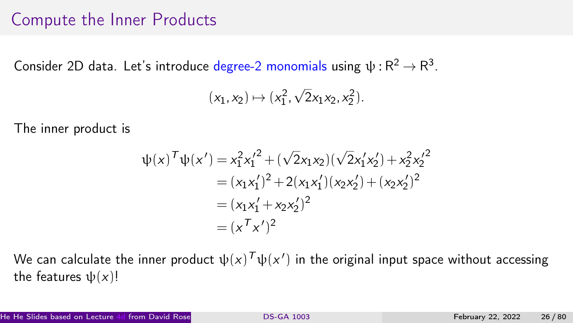#### Compute the Inner Products

Consider 2D data. Let's introduce degree-2 monomials using  $\psi: \mathsf{R}^2 \to \mathsf{R}^3$ .

$$
(x_1, x_2) \mapsto (x_1^2, \sqrt{2}x_1x_2, x_2^2).
$$

The inner product is

$$
\psi(x)^{\mathsf{T}}\psi(x') = x_1^2 x_1'^2 + (\sqrt{2}x_1x_2)(\sqrt{2}x_1'x_2') + x_2^2 x_2'^2
$$
  
=  $(x_1x_1')^2 + 2(x_1x_1')(x_2x_2') + (x_2x_2')^2$   
=  $(x_1x_1' + x_2x_2')^2$   
=  $(x^T x')^2$ 

We can calculate the inner product  $\psi(x)^{\mathcal{T}}\psi(x')$  in the original input space without accessing the features  $\psi(x)!$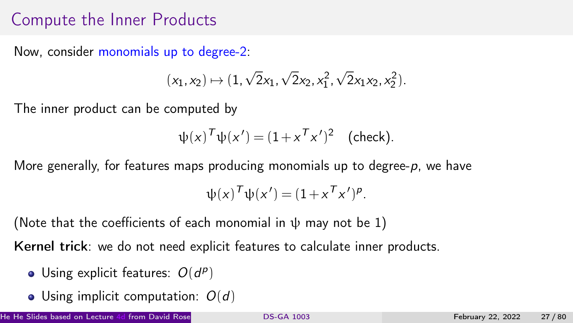## Compute the Inner Products

Now, consider monomials up to degree-2:

$$
(x_1,x_2)\mapsto (1,\sqrt{2}x_1,\sqrt{2}x_2,x_1^2,\sqrt{2}x_1x_2,x_2^2).
$$

The inner product can be computed by

$$
\psi(x)^T \psi(x') = (1 + x^T x')^2 \quad \text{(check)}.
$$

More generally, for features maps producing monomials up to degree- $p$ , we have

$$
\psi(x)^T \psi(x') = (1 + x^T x')^p.
$$

(Note that the coefficients of each monomial in  $\psi$  may not be 1)

Kernel trick: we do not need explicit features to calculate inner products.

- Using explicit features:  $O(d^p)$
- Using implicit computation:  $O(d)$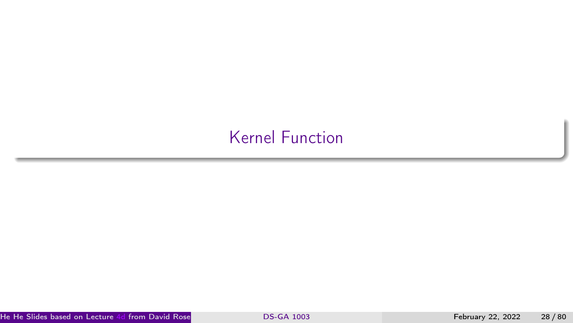# <span id="page-27-0"></span>[Kernel Function](#page-27-0)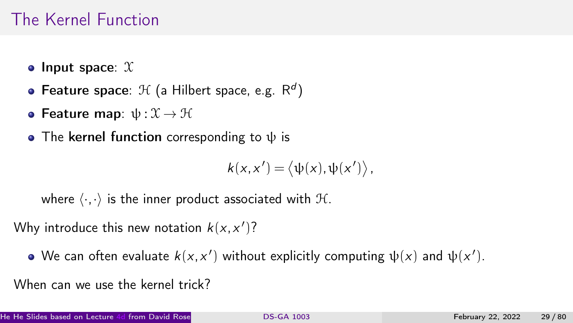### The Kernel Function

- Input space:  $X$
- Feature space:  $\mathcal{H}$  (a Hilbert space, e.g.  $\mathsf{R}^d$ )
- Feature map:  $ψ : X \rightarrow H$
- The kernel function corresponding to  $\psi$  is

$$
k(x,x')=\langle \psi(x),\psi(x')\rangle,
$$

where  $\langle \cdot, \cdot \rangle$  is the inner product associated with  $H$ .

Why introduce this new notation  $k(x, x')$ ?

We can often evaluate  $k(x, x')$  without explicitly computing  $\psi(x)$  and  $\psi(x')$ .

When can we use the kernel trick?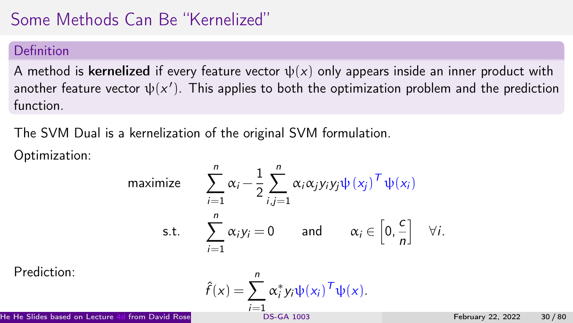# Some Methods Can Be "Kernelized"

#### Definition

A method is kernelized if every feature vector  $\psi(x)$  only appears inside an inner product with another feature vector  $\psi(x')$ . This applies to both the optimization problem and the prediction function.

The SVM Dual is a kernelization of the original SVM formulation.

Optimization:

maximize 
$$
\sum_{i=1}^{n} \alpha_i - \frac{1}{2} \sum_{i,j=1}^{n} \alpha_i \alpha_j y_i y_j \psi(x_j)^T \psi(x_i)
$$
  
s.t.  $\sum_{i=1}^{n} \alpha_i y_i = 0$  and  $\alpha_i \in [0, \frac{c}{n}] \quad \forall i$ .

Prediction:

Prediction:

\n
$$
\hat{f}(x) = \sum_{i=1}^{n} \alpha_i^* y_i \psi(x_i)^T \psi(x).
$$
\nHe He Slides based on Lecture 4d from David Rose

\nDo-SGA 1003

\nThe He Slides based on Lecture 4d from David Rose

\nDe M. 30/80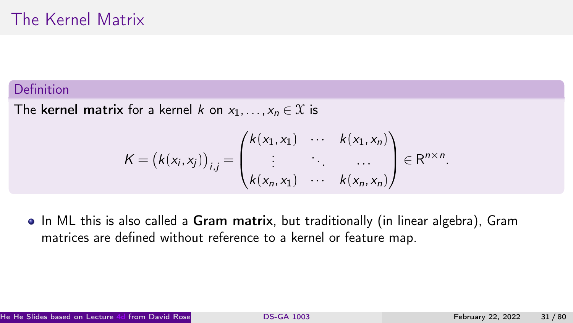#### Definition

The kernel matrix for a kernel k on  $x_1, \ldots, x_n \in \mathcal{X}$  is

$$
K = (k(x_i, x_j))_{i,j} = \begin{pmatrix} k(x_1, x_1) & \cdots & k(x_1, x_n) \\ \vdots & \ddots & \cdots \\ k(x_n, x_1) & \cdots & k(x_n, x_n) \end{pmatrix} \in \mathbb{R}^{n \times n}.
$$

• In ML this is also called a Gram matrix, but traditionally (in linear algebra), Gram matrices are defined without reference to a kernel or feature map.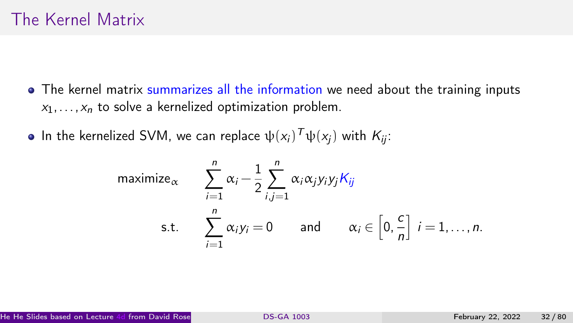- The kernel matrix summarizes all the information we need about the training inputs  $x_1, \ldots, x_n$  to solve a kernelized optimization problem.
- In the kernelized SVM, we can replace  $\psi({\sf x}_i)^{\mathcal{T}}\psi({\sf x}_j)$  with  $\mathcal{K}_{ij}$ :

$$
\begin{aligned}\n\text{maximize}_{\alpha} & \sum_{i=1}^{n} \alpha_i - \frac{1}{2} \sum_{i,j=1}^{n} \alpha_i \alpha_j y_i y_j K_{ij} \\
\text{s.t.} & \sum_{i=1}^{n} \alpha_i y_i = 0 \quad \text{and} \quad \alpha_i \in \left[0, \frac{c}{n}\right] \quad i = 1, \dots, n.\n\end{aligned}
$$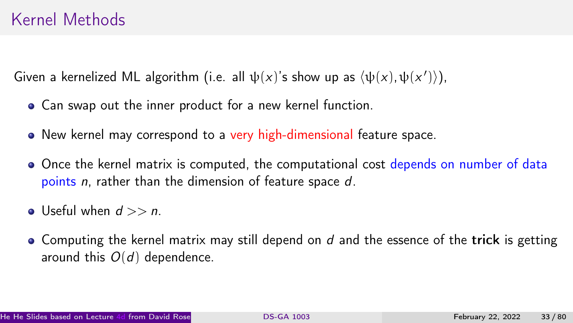#### Kernel Methods

Given a kernelized ML algorithm (i.e. all  $\psi(x)$ 's show up as  $\langle \psi(x), \psi(x') \rangle$ ),

- Can swap out the inner product for a new kernel function.
- New kernel may correspond to a very high-dimensional feature space.
- Once the kernel matrix is computed, the computational cost depends on number of data points n, rather than the dimension of feature space d.
- Useful when  $d >> n$ .
- $\bullet$  Computing the kernel matrix may still depend on  $d$  and the essence of the trick is getting around this  $O(d)$  dependence.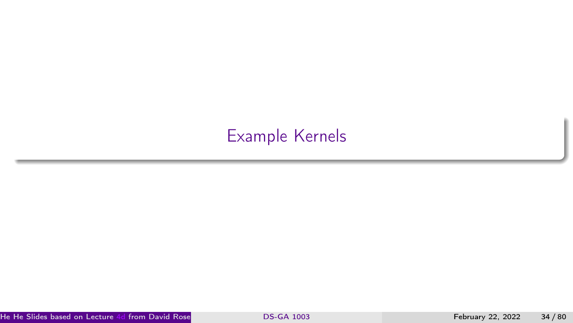# <span id="page-33-0"></span>[Example Kernels](#page-33-0)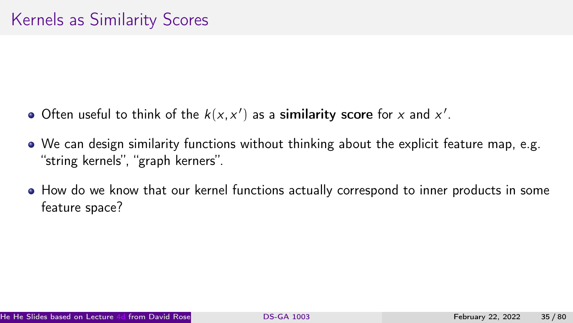- Often useful to think of the  $k(x, x')$  as a similarity score for x and  $x'$ .
- We can design similarity functions without thinking about the explicit feature map, e.g. "string kernels", "graph kerners".
- How do we know that our kernel functions actually correspond to inner products in some feature space?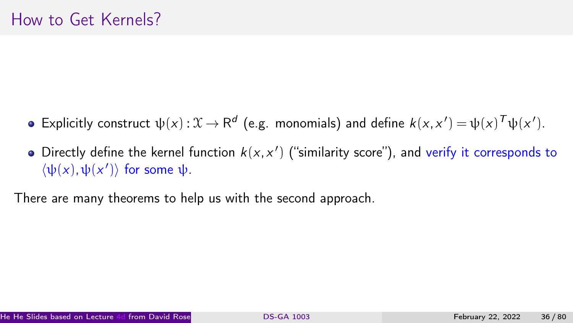- Explicitly construct  $\psi(x): \mathfrak{X} \to \mathsf{R}^d$  (e.g. monomials) and define  $k(x, x') = \psi(x)^\mathsf{T} \psi(x').$
- Directly define the kernel function  $k(x, x')$  ("similarity score"), and verify it corresponds to  $\langle \psi(x), \psi(x') \rangle$  for some  $\psi$ .

There are many theorems to help us with the second approach.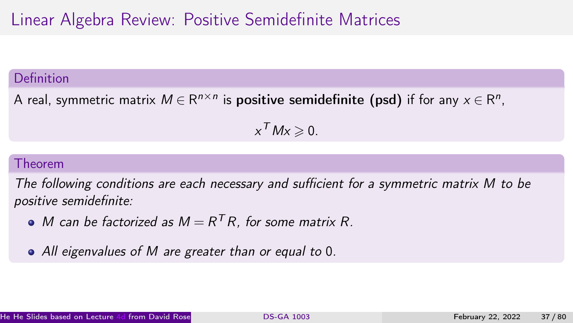## Linear Algebra Review: Positive Semidefinite Matrices

### Definition

A real, symmetric matrix  $M\in\mathsf{R}^{n\times n}$  is **positive semidefinite (psd)** if for any  $x\in\mathsf{R}^n$ ,

 $x^TMx\geqslant 0.$ 

### Theorem

The following conditions are each necessary and sufficient for a symmetric matrix M to be positive semidefinite:

- M can be factorized as  $M = R^T R$ , for some matrix R.
- All eigenvalues of M are greater than or equal to 0.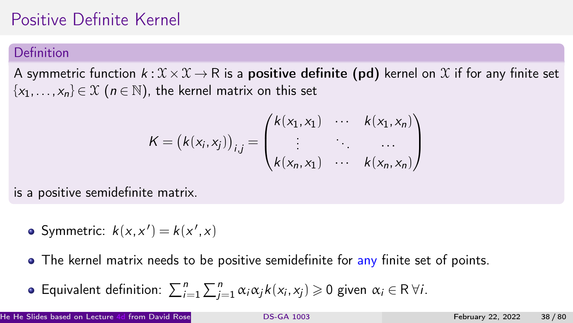# Positive Definite Kernel

### Definition

A symmetric function  $k: \mathcal{X} \times \mathcal{X} \to \mathsf{R}$  is a **positive definite (pd)** kernel on X if for any finite set  ${x_1,...,x_n} \in \mathcal{X}$  ( $n \in \mathbb{N}$ ), the kernel matrix on this set

$$
K = (k(x_i, x_j))_{i,j} = \begin{pmatrix} k(x_1, x_1) & \cdots & k(x_1, x_n) \\ \vdots & \ddots & \cdots \\ k(x_n, x_1) & \cdots & k(x_n, x_n) \end{pmatrix}
$$

is a positive semidefinite matrix.

- Symmetric:  $k(x, x') = k(x', x)$
- The kernel matrix needs to be positive semidefinite for any finite set of points.
- Equivalent definition:  $\sum_{i=1}^n\sum_{j=1}^n\alpha_i\alpha_j k(x_i,x_j)\geqslant 0$  given  $\alpha_i\in\mathsf{R}\ \forall i.$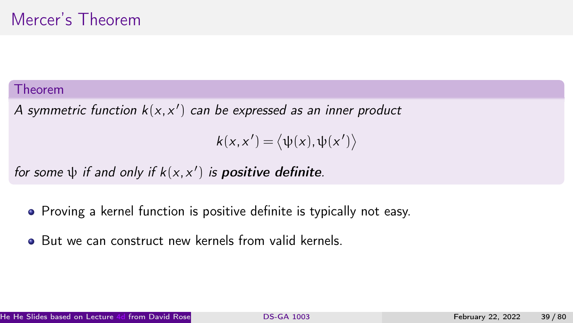#### Theorem

A symmetric function  $k(x, x')$  can be expressed as an inner product

 $k(x, x') = \langle \psi(x), \psi(x') \rangle$ 

for some  $\psi$  if and only if  $k(x, x')$  is **positive definite**.

- Proving a kernel function is positive definite is typically not easy.
- But we can construct new kernels from valid kernels.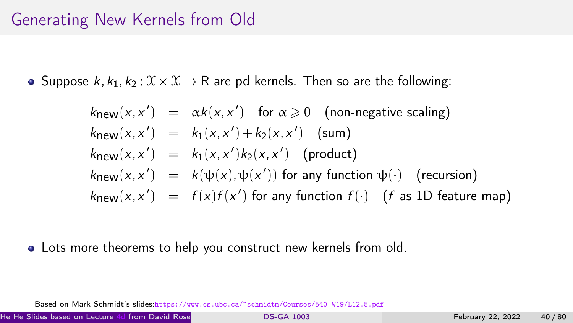## Generating New Kernels from Old

• Suppose  $k, k_1, k_2 : \mathcal{X} \times \mathcal{X} \rightarrow \mathbb{R}$  are pd kernels. Then so are the following:

$$
k_{\text{new}}(x, x') = \alpha k(x, x') \text{ for } \alpha \ge 0 \text{ (non-negative scaling)}
$$
  
\n
$$
k_{\text{new}}(x, x') = k_1(x, x') + k_2(x, x') \text{ (sum)}
$$
  
\n
$$
k_{\text{new}}(x, x') = k_1(x, x')k_2(x, x') \text{ (product)}
$$
  
\n
$$
k_{\text{new}}(x, x') = k(\psi(x), \psi(x')) \text{ for any function } \psi(\cdot) \text{ (recursion)}
$$
  
\n
$$
k_{\text{new}}(x, x') = f(x)f(x') \text{ for any function } f(\cdot) \text{ (f as 1D feature map)}
$$

Lots more theorems to help you construct new kernels from old.

He He Slides based on Lecture [4d](https://davidrosenberg.github.io/mlcourse/Archive/2019/Lectures/04d.kernel-methods.pdf) from David Rosenberg's [course material](https://github.com/davidrosenberg/mlcourse) [DS-GA 1003](#page-0-0) . (CDS, NYU) February 22, 2022 40 / 80

Based on Mark Schmidt's slides:<https://www.cs.ubc.ca/~schmidtm/Courses/540-W19/L12.5.pdf>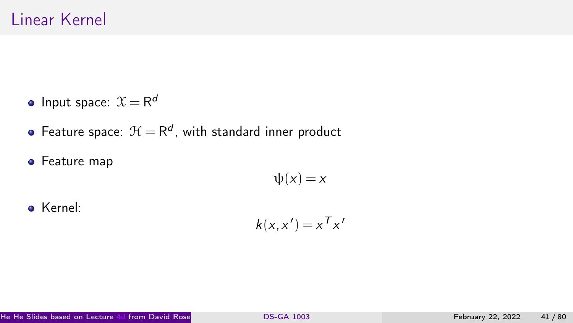- Input space:  $\mathfrak{X} = \mathsf{R}^d$
- Feature space:  $\mathcal{H} = \mathsf{R}^{d}$ , with standard inner product
- **•** Feature map

 $\psi(x) = x$ 

Kernel:

$$
k(x, x') = x^T x'
$$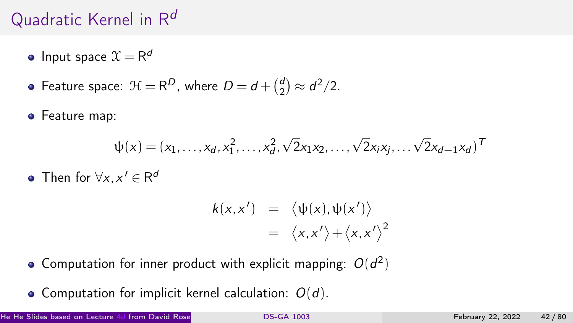# Quadratic Kernel in  $R^d$

- Input space  $\mathfrak{X}=\mathsf{R}^d$
- Feature space:  $\mathcal{H} = \mathsf{R}^D$ , where  $D = d + \binom{d}{2}$  $\binom{d}{2} \approx d^2/2.$
- **•** Feature map:

$$
\psi(x) = (x_1, \ldots, x_d, x_1^2, \ldots, x_d^2, \sqrt{2}x_1x_2, \ldots, \sqrt{2}x_ix_j, \ldots, \sqrt{2}x_{d-1}x_d)^T
$$

Then for  $\forall x, x' \in \mathsf{R}^d$ 

$$
k(x, x') = \langle \psi(x), \psi(x') \rangle
$$
  
=  $\langle x, x' \rangle + \langle x, x' \rangle^2$ 

- Computation for inner product with explicit mapping:  $O(d^2)$
- Computation for implicit kernel calculation:  $O(d)$ .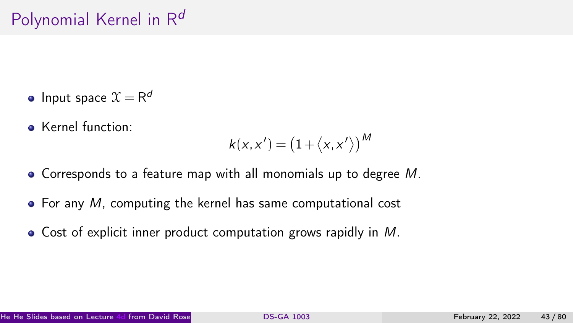- Input space  $\mathfrak{X}=\mathsf{R}^d$
- **Kernel function:**

$$
k(x, x') = (1 + \langle x, x' \rangle)^M
$$

- Corresponds to a feature map with all monomials up to degree M.
- $\bullet$  For any M, computing the kernel has same computational cost
- Cost of explicit inner product computation grows rapidly in M.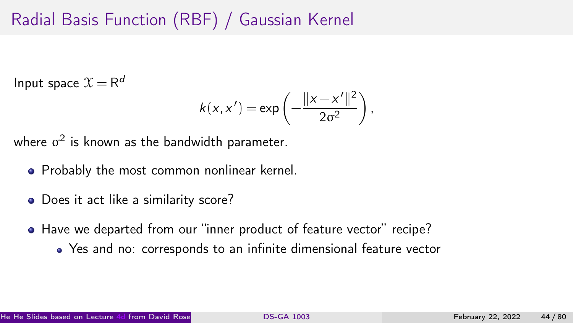# Radial Basis Function (RBF) / Gaussian Kernel

Input space  $\mathfrak{X} = \mathsf{R}^d$ 

$$
k(x, x') = \exp\left(-\frac{\|x - x'\|^2}{2\sigma^2}\right),
$$

where  $\sigma^2$  is known as the bandwidth parameter.

- Probably the most common nonlinear kernel.
- Does it act like a similarity score?
- Have we departed from our "inner product of feature vector" recipe?
	- Yes and no: corresponds to an infinite dimensional feature vector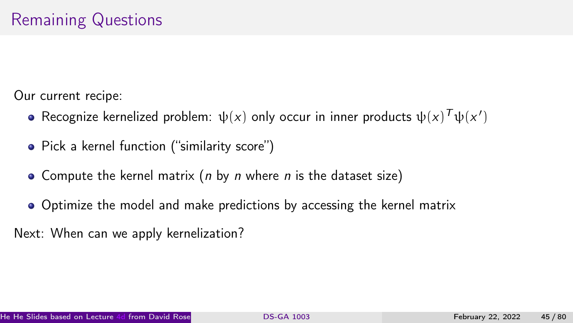Our current recipe:

- Recognize kernelized problem:  $\psi(x)$  only occur in inner products  $\psi(x)^{\mathcal{T}}\psi(x')$
- Pick a kernel function ("similarity score")
- Compute the kernel matrix ( $n$  by  $n$  where  $n$  is the dataset size)
- Optimize the model and make predictions by accessing the kernel matrix

Next: When can we apply kernelization?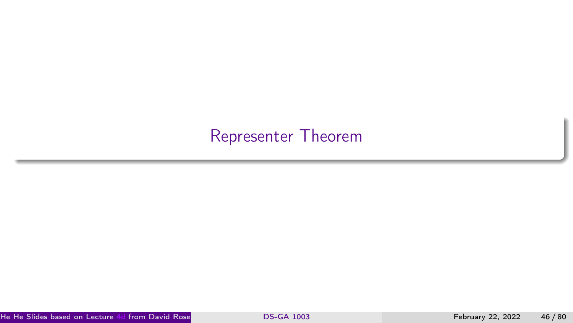## <span id="page-45-0"></span>[Representer Theorem](#page-45-0)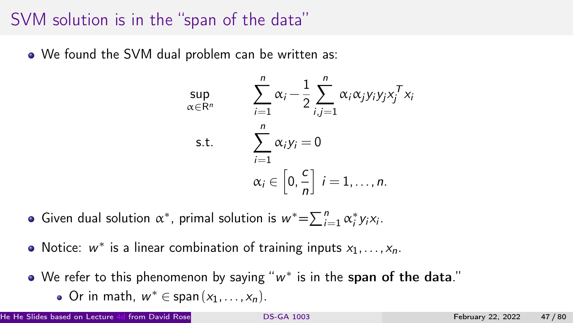## SVM solution is in the "span of the data"

We found the SVM dual problem can be written as:

$$
\sup_{\alpha \in \mathbb{R}^n} \qquad \sum_{i=1}^n \alpha_i - \frac{1}{2} \sum_{i,j=1}^n \alpha_i \alpha_j y_i y_j x_j^T x_i
$$
\n
$$
\text{s.t.} \qquad \sum_{i=1}^n \alpha_i y_i = 0
$$
\n
$$
\alpha_i \in \left[0, \frac{c}{n}\right] \quad i = 1, \dots, n.
$$

- Given dual solution  $\alpha^*$ , primal solution is  $w^* = \sum_{i=1}^n \alpha_i^* y_i x_i$ .
- Notice:  $w^*$  is a linear combination of training inputs  $x_1, \ldots, x_n$ .
- We refer to this phenomenon by saying " $w^\ast$  is in the  $\mathsf{span}$  of the  $\mathsf{data}$ ."
	- Or in math,  $w^* \in \text{span}(x_1, \ldots, x_n)$ .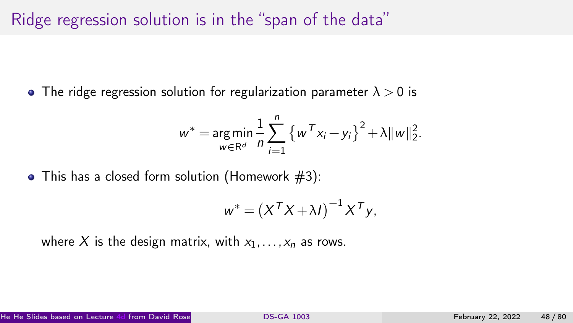## Ridge regression solution is in the "span of the data"

• The ridge regression solution for regularization parameter  $\lambda > 0$  is

$$
w^* = \underset{w \in \mathbb{R}^d}{\arg \min} \frac{1}{n} \sum_{i=1}^n \left\{ w^T x_i - y_i \right\}^2 + \lambda \|w\|_2^2.
$$

 $\bullet$  This has a closed form solution (Homework  $#3$ ):

$$
w^* = (X^T X + \lambda I)^{-1} X^T y,
$$

where X is the design matrix, with  $x_1, \ldots, x_n$  as rows.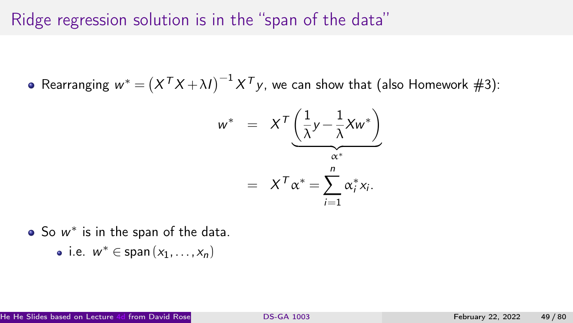## Ridge regression solution is in the "span of the data"

Rearranging  $w^* = \left( X^{\mathsf{T}} X + \lambda I \right)^{-1} X^{\mathsf{T}} y$ , we can show that (also Homework #3):

$$
w^* = X^T \underbrace{\left(\frac{1}{\lambda}y - \frac{1}{\lambda}Xw^*\right)}_{\alpha^*}
$$

$$
= X^T \alpha^* = \sum_{i=1}^n \alpha_i^* x_i.
$$

- So  $w^*$  is in the span of the data.
	- i.e.  $w^* \in \text{span}(x_1, \ldots, x_n)$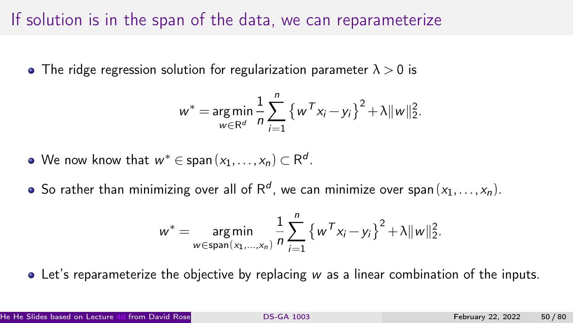## If solution is in the span of the data, we can reparameterize

• The ridge regression solution for regularization parameter  $\lambda > 0$  is

$$
w^* = \underset{w \in \mathbb{R}^d}{\arg \min} \frac{1}{n} \sum_{i=1}^n \left\{ w^T x_i - y_i \right\}^2 + \lambda \|w\|_2^2.
$$

• We now know that 
$$
w^* \in \text{span}(x_1, \ldots, x_n) \subset \mathbb{R}^d
$$
.

So rather than minimizing over all of R<sup>d</sup>, we can minimize over span $(x_1, \ldots, x_n)$ .

$$
w^* = \underset{w \in \text{span}(x_1, ..., x_n)}{\arg \min} \frac{1}{n} \sum_{i=1}^n \left\{ w^T x_i - y_i \right\}^2 + \lambda \|w\|_2^2.
$$

Let's reparameterize the objective by replacing w as a linear combination of the inputs.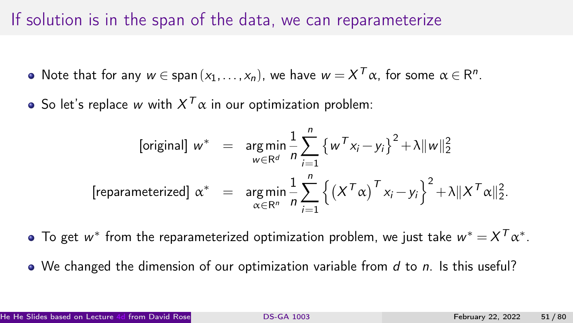## If solution is in the span of the data, we can reparameterize

- Note that for any  $w \in \text{span}(x_1, \ldots, x_n)$ , we have  $w = X^T \alpha$ , for some  $\alpha \in \mathsf{R}^n$ .
- So let's replace  $w$  with  $X^T\alpha$  in our optimization problem:

$$
\begin{array}{rcl}\n\text{[original]} \ w^* & = & \arg\min_{w \in \mathbb{R}^d} \frac{1}{n} \sum_{i=1}^n \left\{ w^T x_i - y_i \right\}^2 + \lambda \|w\|_2^2 \\
\text{[reparameterized]} \ \alpha^* & = & \arg\min_{\alpha \in \mathbb{R}^n} \frac{1}{n} \sum_{i=1}^n \left\{ \left( X^T \alpha \right)^T x_i - y_i \right\}^2 + \lambda \| X^T \alpha \|_2^2.\n\end{array}
$$

- To get  $w^*$  from the reparameterized optimization problem, we just take  $w^* = X^T \alpha^*.$
- $\bullet$  We changed the dimension of our optimization variable from d to n. Is this useful?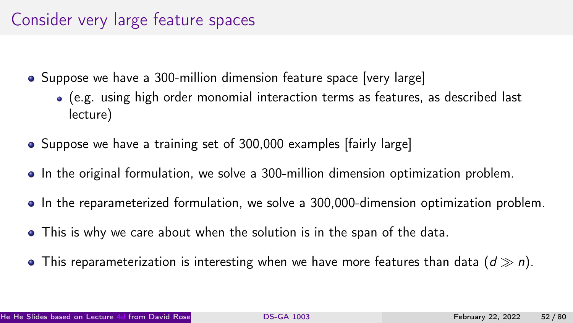## Consider very large feature spaces

- Suppose we have a 300-million dimension feature space [very large]
	- (e.g. using high order monomial interaction terms as features, as described last lecture)
- Suppose we have a training set of 300,000 examples [fairly large]
- In the original formulation, we solve a 300-million dimension optimization problem.
- In the reparameterized formulation, we solve a 300,000-dimension optimization problem.
- This is why we care about when the solution is in the span of the data.
- This reparameterization is interesting when we have more features than data  $(d \gg n)$ .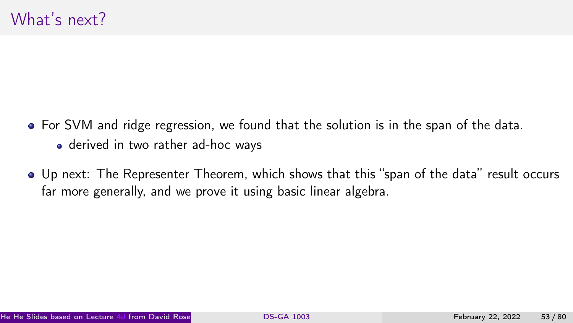- For SVM and ridge regression, we found that the solution is in the span of the data.
	- derived in two rather ad-hoc ways
- Up next: The Representer Theorem, which shows that this "span of the data" result occurs far more generally, and we prove it using basic linear algebra.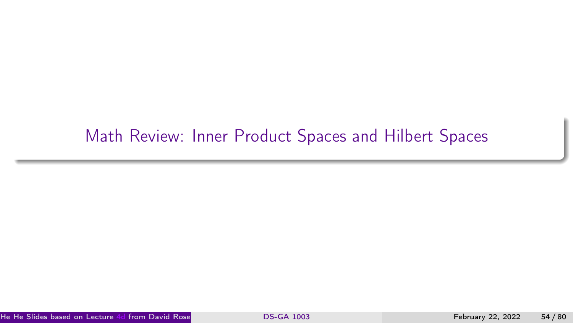## <span id="page-53-0"></span>[Math Review: Inner Product Spaces and Hilbert Spaces](#page-53-0)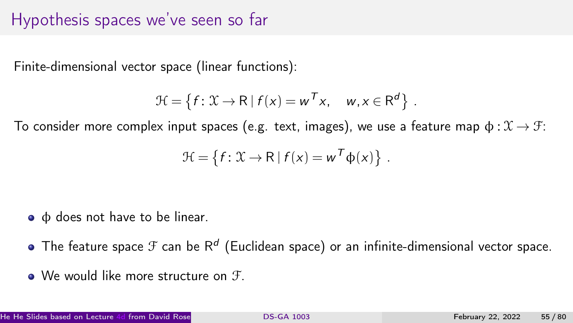### Hypothesis spaces we've seen so far

Finite-dimensional vector space (linear functions):

$$
\mathcal{H} = \left\{ f : \mathcal{X} \to \mathsf{R} \mid f(x) = w^T x, \quad w, x \in \mathsf{R}^d \right\}.
$$

To consider more complex input spaces (e.g. text, images), we use a feature map  $\phi : \mathcal{X} \to \mathcal{F}$ :

$$
\mathcal{H} = \{f: \mathcal{X} \to \mathsf{R} \mid f(x) = w^T \phi(x)\}.
$$

- φ does not have to be linear.
- The feature space  ${\mathcal F}$  can be  ${\sf R}^d$  (Euclidean space) or an infinite-dimensional vector space.
- We would like more structure on  $\mathcal{F}$ .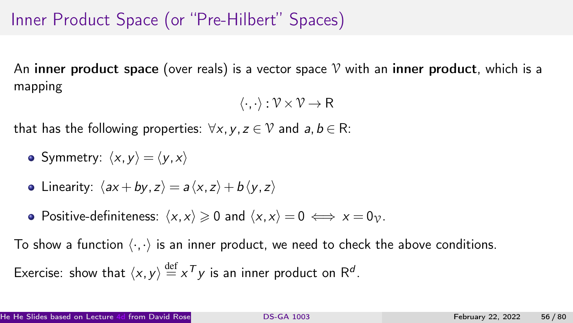# Inner Product Space (or "Pre-Hilbert" Spaces)

An inner product space (over reals) is a vector space  $\mathcal V$  with an inner product, which is a mapping

$$
\langle \cdot, \cdot \rangle : \mathcal{V} \times \mathcal{V} \to \mathsf{R}
$$

that has the following properties:  $\forall x, y, z \in V$  and  $a, b \in R$ :

• Symmetry:  $\langle x,y \rangle = \langle y,x \rangle$ 

• Linearity: 
$$
\langle ax + by, z \rangle = a \langle x, z \rangle + b \langle y, z \rangle
$$

• Positive-definiteness:  $\langle x, x \rangle \ge 0$  and  $\langle x, x \rangle = 0 \iff x = 0_{\mathcal{V}}$ .

To show a function  $\langle \cdot, \cdot \rangle$  is an inner product, we need to check the above conditions.

Exercise: show that 
$$
\langle x, y \rangle \stackrel{\text{def}}{=} x^T y
$$
 is an inner product on  $\mathbb{R}^d$ .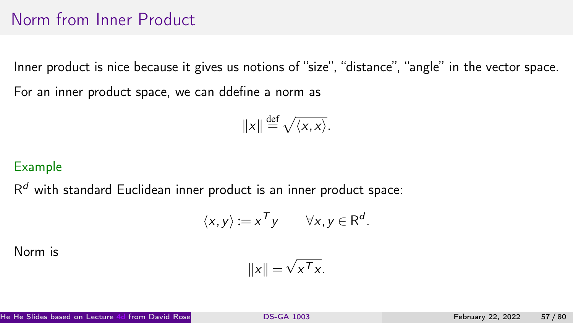## Norm from Inner Product

Inner product is nice because it gives us notions of "size", "distance", "angle" in the vector space. For an inner product space, we can ddefine a norm as

$$
||x|| \stackrel{\text{def}}{=} \sqrt{\langle x, x \rangle}.
$$

### Example

 $R<sup>d</sup>$  with standard Euclidean inner product is an inner product space:

$$
\langle x, y \rangle := x^T y \qquad \forall x, y \in \mathsf{R}^d.
$$

Norm is

$$
||x|| = \sqrt{x^T x}.
$$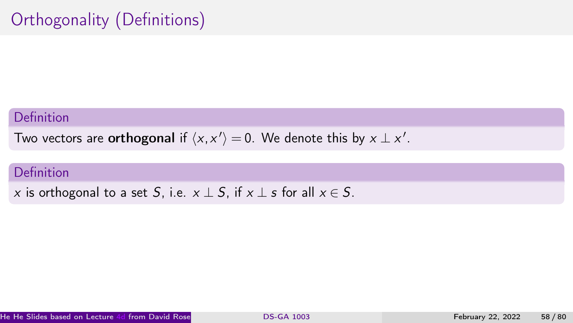# Orthogonality (Definitions)

#### Definition

Two vectors are **orthogonal** if  $\langle x, x' \rangle = 0$ . We denote this by  $x \perp x'$ .

### Definition

x is orthogonal to a set S, i.e.  $x \perp S$ , if  $x \perp s$  for all  $x \in S$ .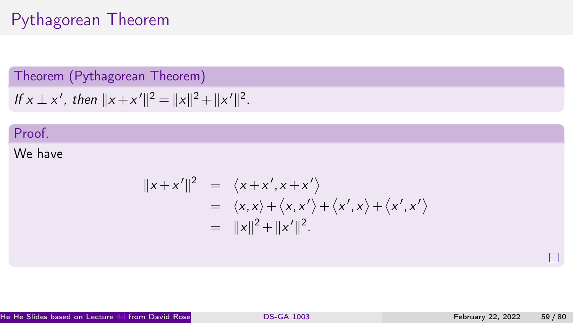## Pythagorean Theorem

### Theorem (Pythagorean Theorem)

If 
$$
x \perp x'
$$
, then  $||x + x'||^2 = ||x||^2 + ||x'||^2$ .

### Proof.

### We have

$$
||x+x'||^2 = \langle x+x', x+x' \rangle
$$
  
=  $\langle x,x \rangle + \langle x,x' \rangle + \langle x',x \rangle + \langle x',x' \rangle$   
=  $||x||^2 + ||x'||^2$ .

 $\Box$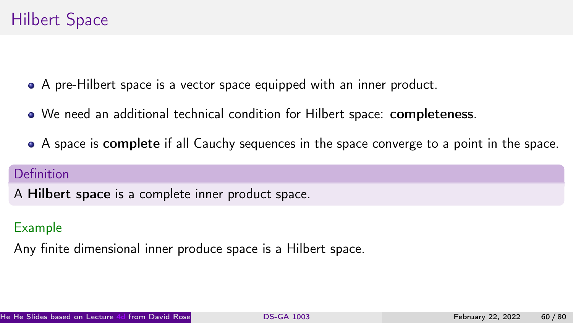# Hilbert Space

- A pre-Hilbert space is a vector space equipped with an inner product.
- We need an additional technical condition for Hilbert space: completeness.
- A space is complete if all Cauchy sequences in the space converge to a point in the space.

### Definition

A Hilbert space is a complete inner product space.

### Example

Any finite dimensional inner produce space is a Hilbert space.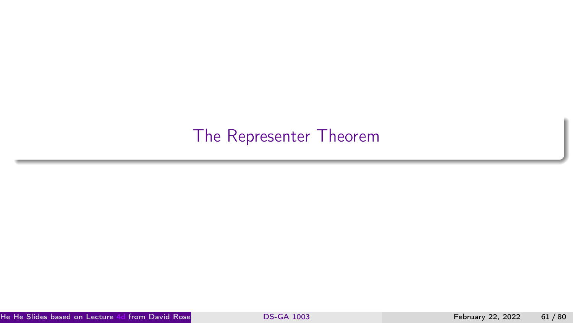## <span id="page-60-0"></span>[The Representer Theorem](#page-60-0)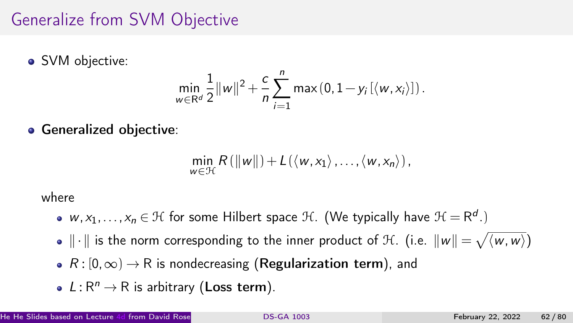## Generalize from SVM Objective

• SVM objective:

$$
\min_{w \in \mathbb{R}^d} \frac{1}{2} ||w||^2 + \frac{c}{n} \sum_{i=1}^n \max(0, 1 - y_i \left[ \langle w, x_i \rangle \right]).
$$

**• Generalized objective:** 

$$
\min_{w \in \mathcal{H}} R(\|w\|) + L(\langle w, x_1 \rangle, \ldots, \langle w, x_n \rangle),
$$

where

- $w, x_1, \ldots, x_n \in \mathcal{H}$  for some Hilbert space  $\mathcal{H}$ . (We typically have  $\mathcal{H} = \mathsf{R}^d$ .)
- $\|\cdot\|$  is the norm corresponding to the inner product of H. (i.e.  $\|w\| = \sqrt{\langle w,w\rangle}$ )
- $R : [0, \infty) \rightarrow \mathbb{R}$  is nondecreasing (Regularization term), and
- $L: \mathsf{R}^n \to \mathsf{R}$  is arbitrary (Loss term).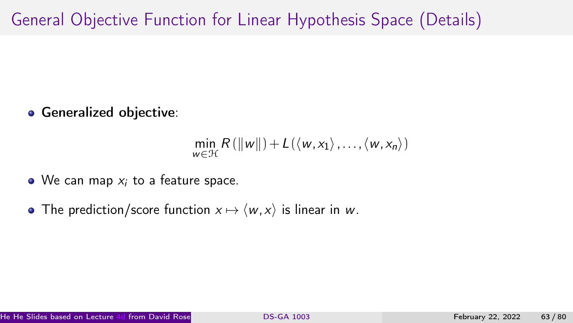# General Objective Function for Linear Hypothesis Space (Details)

**• Generalized objective:** 

$$
\min_{w \in \mathcal{H}} R(\|w\|) + L(\langle w, x_1 \rangle, \ldots, \langle w, x_n \rangle)
$$

- $\bullet$  We can map  $x_i$  to a feature space.
- The prediction/score function  $x \mapsto \langle w, x \rangle$  is linear in w.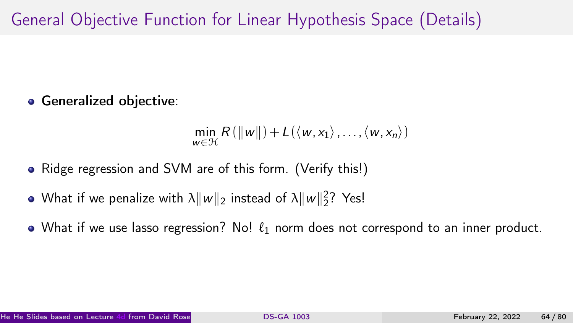# General Objective Function for Linear Hypothesis Space (Details)

**• Generalized objective:** 

$$
\min_{w \in \mathcal{H}} R(\Vert w \Vert) + L(\langle w, x_1 \rangle, \ldots, \langle w, x_n \rangle)
$$

- Ridge regression and SVM are of this form. (Verify this!)
- What if we penalize with  $\lambda \|w\|_2$  instead of  $\lambda \|w\|_2^2$ ? Yes!
- What if we use lasso regression? No!  $\ell_1$  norm does not correspond to an inner product.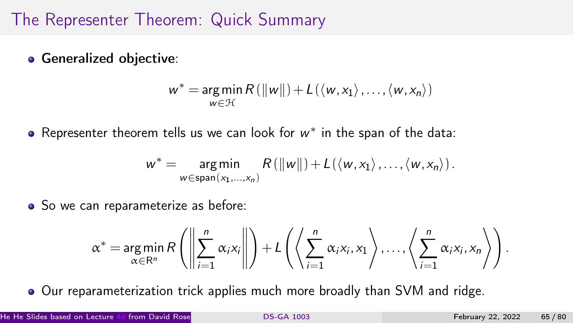## The Representer Theorem: Quick Summary

**• Generalized objective:** 

$$
w^* = \underset{w \in \mathcal{H}}{\arg \min} R(||w||) + L(\langle w, x_1 \rangle, \ldots, \langle w, x_n \rangle)
$$

Representer theorem tells us we can look for  $w^*$  in the span of the data:

$$
w^* = \underset{w \in \text{span}(x_1,...,x_n)}{\text{arg min}} R(||w||) + L(\langle w, x_1 \rangle,...,\langle w, x_n \rangle).
$$

• So we can reparameterize as before:

$$
\alpha^* = \underset{\alpha \in \mathbb{R}^n}{\arg \min} R\left(\left\|\sum_{i=1}^n \alpha_i x_i\right\|\right) + L\left(\left\langle \sum_{i=1}^n \alpha_i x_i, x_1 \right\rangle, \ldots, \left\langle \sum_{i=1}^n \alpha_i x_i, x_n \right\rangle\right).
$$

Our reparameterization trick applies much more broadly than SVM and ridge.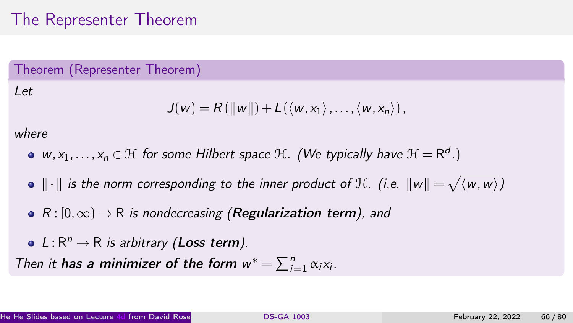## The Representer Theorem

### Theorem (Representer Theorem)

### Let

$$
J(w) = R(||w||) + L(\langle w, x_1 \rangle, \ldots, \langle w, x_n \rangle),
$$

### where

- w,  $x_1,\ldots,x_n\in\mathfrak{H}$  for some Hilbert space  $\mathfrak{H}.$  (We typically have  $\mathfrak{H}=\mathsf{R}^d$ .)
- $\|\cdot\|$  is the norm corresponding to the inner product of  $\mathcal H.$  (i.e.  $\|w\|=\sqrt{\langle w,w\rangle}\rangle$
- $R : [0, \infty) \rightarrow R$  is nondecreasing (Regularization term), and
- $L: \mathbb{R}^n \to \mathbb{R}$  is arbitrary (Loss term).

Then it has a minimizer of the form  $w^* = \sum_{i=1}^n \alpha_i x_i$ .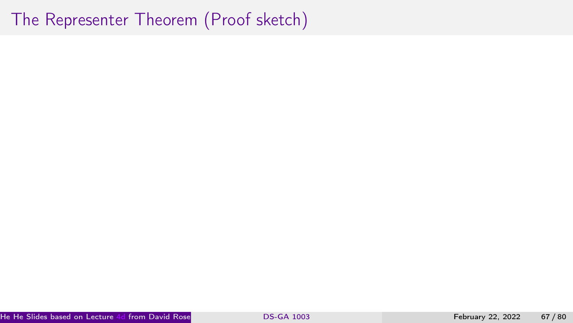## The Representer Theorem (Proof sketch)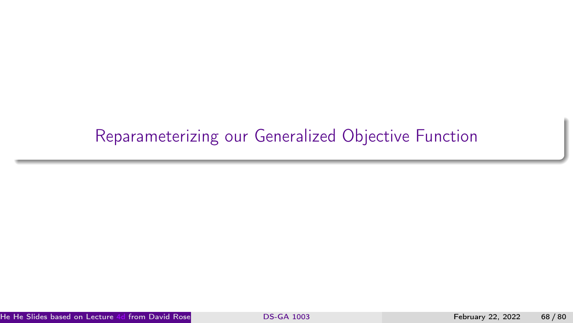# <span id="page-67-0"></span>[Reparameterizing our Generalized Objective Function](#page-67-0)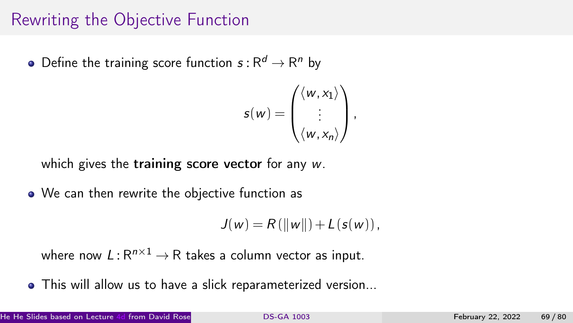## Rewriting the Objective Function

Define the training score function  $s$  :  $\mathsf{R}^d \to \mathsf{R}^n$  by

$$
s(w) = \begin{pmatrix} \langle w, x_1 \rangle \\ \vdots \\ \langle w, x_n \rangle \end{pmatrix},
$$

which gives the training score vector for any w.

• We can then rewrite the objective function as

$$
J(w) = R(||w||) + L(s(w)),
$$

where now  $L$  :  $\mathsf{R}^{n \times 1} \to \mathsf{R}$  takes a column vector as input.

This will allow us to have a slick reparameterized version...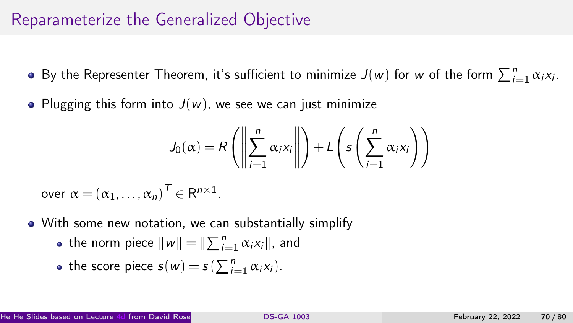## Reparameterize the Generalized Objective

- By the Representer Theorem, it's sufficient to minimize  $J(w)$  for  $w$  of the form  $\sum_{i=1}^{n} \alpha_i x_i$ .
- Plugging this form into  $J(w)$ , we see we can just minimize

$$
J_0(\alpha) = R\left(\left\|\sum_{i=1}^n \alpha_i x_i\right\| \right) + L\left(s\left(\sum_{i=1}^n \alpha_i x_i\right)\right)
$$

over  $\alpha = (\alpha_1, \ldots, \alpha_n)^T \in \mathsf{R}^{n \times 1}$ .

- With some new notation, we can substantially simplify
	- the norm piece  $\|w\| = \|\sum_{i=1}^n \alpha_i x_i\|$ , and

• the score piece 
$$
s(w) = s(\sum_{i=1}^{n} \alpha_i x_i)
$$
.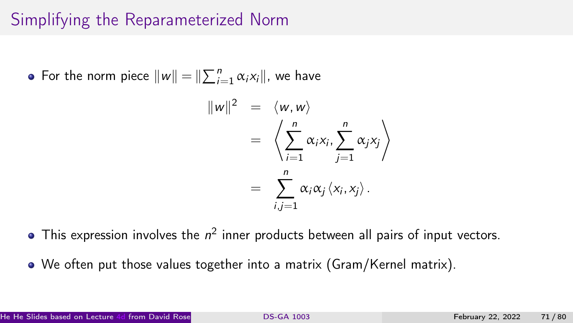# Simplifying the Reparameterized Norm

For the norm piece  $||w|| = ||\sum_{i=1}^{n} \alpha_i x_i||$ , we have

$$
||w||^2 = \langle w, w \rangle
$$
  
=  $\left\langle \sum_{i=1}^n \alpha_i x_i, \sum_{j=1}^n \alpha_j x_j \right\rangle$   
=  $\sum_{i,j=1}^n \alpha_i \alpha_j \langle x_i, x_j \rangle$ .

- This expression involves the  $n^2$  inner products between all pairs of input vectors.
- We often put those values together into a matrix (Gram/Kernel matrix).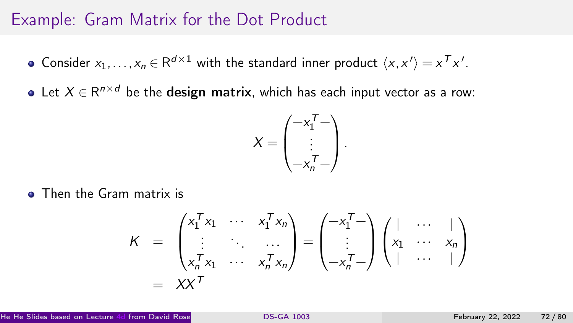### Example: Gram Matrix for the Dot Product

- Consider  $x_1, \ldots, x_n \in \mathbb{R}^{d \times 1}$  with the standard inner product  $\langle x, x' \rangle = x^T x'.$
- Let  $X \in \mathsf{R}^{n \times d}$  be the  $\mathsf{design}$  matrix, which has each input vector as a row:

$$
X = \begin{pmatrix} -x_1^T - \\ \vdots \\ -x_n^T - \end{pmatrix}.
$$

• Then the Gram matrix is

$$
K = \begin{pmatrix} x_1^T x_1 & \cdots & x_1^T x_n \\ \vdots & \ddots & \cdots \\ x_n^T x_1 & \cdots & x_n^T x_n \end{pmatrix} = \begin{pmatrix} -x_1^T - \\ \vdots \\ -x_n^T - \end{pmatrix} \begin{pmatrix} | & \cdots & | \\ x_1 & \cdots & x_n \\ | & \cdots & | \end{pmatrix}
$$

$$
= XX^T
$$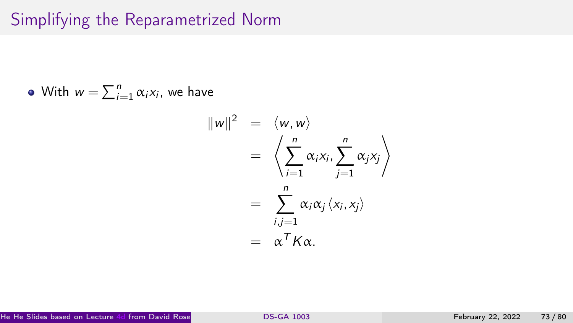# Simplifying the Reparametrized Norm

• With 
$$
w = \sum_{i=1}^{n} \alpha_i x_i
$$
, we have

$$
||w||^2 = \langle w, w \rangle
$$
  
=  $\left\langle \sum_{i=1}^n \alpha_i x_i, \sum_{j=1}^n \alpha_j x_j \right\rangle$   
=  $\sum_{i,j=1}^n \alpha_i \alpha_j \langle x_i, x_j \rangle$   
=  $\alpha^T K \alpha$ .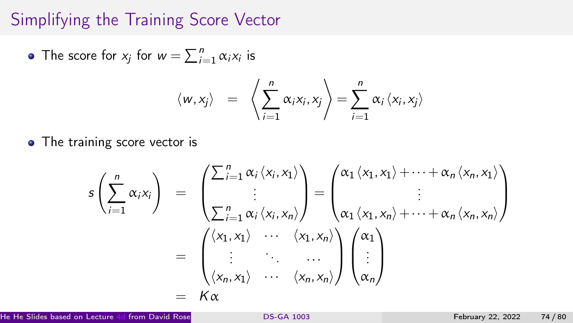#### Simplifying the Training Score Vector

The score for  $x_j$  for  $w = \sum_{i=1}^n \alpha_i x_i$  is

$$
\langle w, x_j \rangle = \left\langle \sum_{i=1}^n \alpha_i x_i, x_j \right\rangle = \sum_{i=1}^n \alpha_i \left\langle x_i, x_j \right\rangle
$$

• The training score vector is

$$
s\left(\sum_{i=1}^{n} \alpha_{i}x_{i}\right) = \begin{pmatrix} \sum_{i=1}^{n} \alpha_{i} \langle x_{i}, x_{1} \rangle \\ \vdots \\ \sum_{i=1}^{n} \alpha_{i} \langle x_{i}, x_{n} \rangle \end{pmatrix} = \begin{pmatrix} \alpha_{1} \langle x_{1}, x_{1} \rangle + \cdots + \alpha_{n} \langle x_{n}, x_{1} \rangle \\ \vdots \\ \alpha_{1} \langle x_{1}, x_{n} \rangle + \cdots + \alpha_{n} \langle x_{n}, x_{n} \rangle \end{pmatrix}
$$

$$
= \begin{pmatrix} \langle x_{1}, x_{1} \rangle & \cdots & \langle x_{1}, x_{n} \rangle \\ \vdots & \ddots & \cdots \\ \langle x_{n}, x_{1} \rangle & \cdots & \langle x_{n}, x_{n} \rangle \end{pmatrix} \begin{pmatrix} \alpha_{1} \\ \vdots \\ \alpha_{n} \end{pmatrix}
$$

$$
= K\alpha
$$

He He Slides based on Lecture [4d](https://davidrosenberg.github.io/mlcourse/Archive/2019/Lectures/04d.kernel-methods.pdf) from David Rosenberg's Course Material [DS-GA 1003](#page-0-0) . (CDS, NYU) February 22, 2022 . (2022 . 74 / 80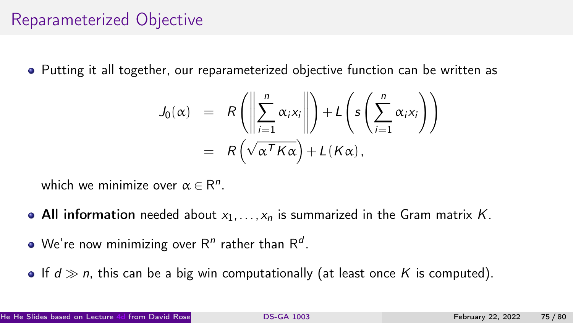#### Reparameterized Objective

Putting it all together, our reparameterized objective function can be written as

$$
J_0(\alpha) = R\left(\left\|\sum_{i=1}^n \alpha_i x_i\right\|\right) + L\left(s\left(\sum_{i=1}^n \alpha_i x_i\right)\right)
$$
  
=  $R\left(\sqrt{\alpha^T K \alpha}\right) + L(K\alpha),$ 

which we minimize over  $\alpha \in \mathsf{R}^n$ .

- All information needed about  $x_1, \ldots, x_n$  is summarized in the Gram matrix K.
- We're now minimizing over R<sup>n</sup> rather than R<sup>d</sup>.
- If  $d \gg n$ , this can be a big win computationally (at least once K is computed).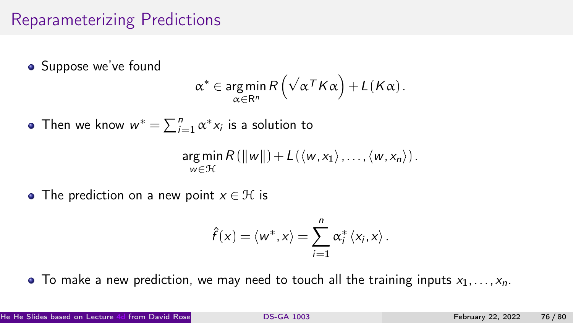### Reparameterizing Predictions

• Suppose we've found

$$
\alpha^* \in \underset{\alpha \in \mathsf{R}^n}{\arg\min} R\left(\sqrt{\alpha^T K \alpha}\right) + L(K\alpha).
$$

Then we know  $w^* = \sum_{i=1}^n \alpha^* x_i$  is a solution to

$$
\underset{w\in\mathcal{H}}{\arg\min} R\left(\|w\|\right)+L\left(\langle w,x_1\rangle,\ldots,\langle w,x_n\rangle\right).
$$

• The prediction on a new point  $x \in \mathcal{H}$  is

$$
\hat{f}(x) = \langle w^*, x \rangle = \sum_{i=1}^n \alpha_i^* \langle x_i, x \rangle.
$$

 $\bullet$  To make a new prediction, we may need to touch all the training inputs  $x_1, \ldots, x_n$ .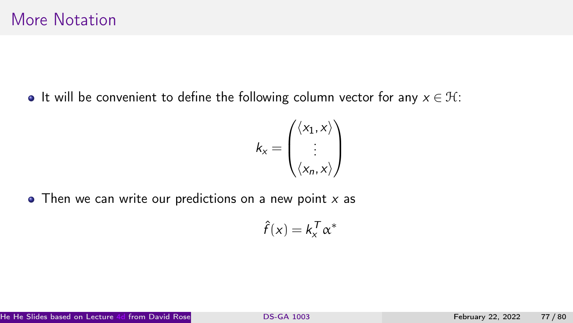• It will be convenient to define the following column vector for any  $x \in \mathcal{H}$ :

$$
k_{x} = \begin{pmatrix} \langle x_{1}, x \rangle \\ \vdots \\ \langle x_{n}, x \rangle \end{pmatrix}
$$

 $\bullet$  Then we can write our predictions on a new point x as

$$
\hat{f}(x) = k_x^T \alpha^*
$$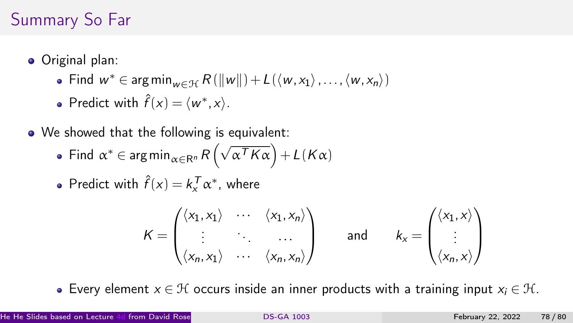# Summary So Far

- Original plan:
	- Find  $w^* \in \argmin_{w \in \mathcal{H}} R(\Vert w \Vert) + L(\langle w, x_1 \rangle, \dots, \langle w, x_n \rangle)$
	- Predict with  $\hat{f}(x) = \langle w^*, x \rangle$ .
- We showed that the following is equivalent:
	- Find  $\alpha^* \in \arg\min_{\alpha \in \mathbb{R}^n} R\left(\sqrt{\alpha^T K \alpha}\right) + L(K\alpha)$
	- Predict with  $\hat{f}(x) = k_x^T \alpha^*$ , where

$$
K = \begin{pmatrix} \langle x_1, x_1 \rangle & \cdots & \langle x_1, x_n \rangle \\ \vdots & \ddots & \cdots \\ \langle x_n, x_1 \rangle & \cdots & \langle x_n, x_n \rangle \end{pmatrix} \quad \text{and} \quad k_x = \begin{pmatrix} \langle x_1, x \rangle \\ \vdots \\ \langle x_n, x \rangle \end{pmatrix}
$$

• Every element  $x \in \mathcal{H}$  occurs inside an inner products with a training input  $x_i \in \mathcal{H}$ .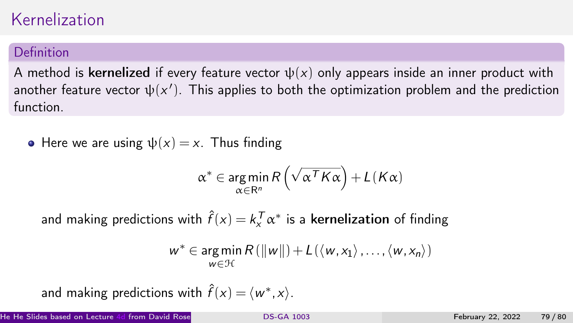# Kernelization

#### Definition

A method is kernelized if every feature vector  $\psi(x)$  only appears inside an inner product with another feature vector  $\psi(x')$ . This applies to both the optimization problem and the prediction function.

• Here we are using  $\psi(x) = x$ . Thus finding

$$
\alpha^* \in \operatorname*{arg\,min}_{\alpha \in \mathsf{R}^n} R\left(\sqrt{\alpha^T K \alpha}\right) + L(K\alpha)
$$

and making predictions with  $\hat{f}(x) = k_x^{\mathcal{T}} \alpha^*$  is a **kernelization** of finding

$$
w^* \in \underset{w \in \mathcal{H}}{\arg \min} R(\|w\|) + L(\langle w, x_1 \rangle, \ldots, \langle w, x_n \rangle)
$$

and making predictions with  $\hat{f}(x) = \langle w^*, x \rangle$ .